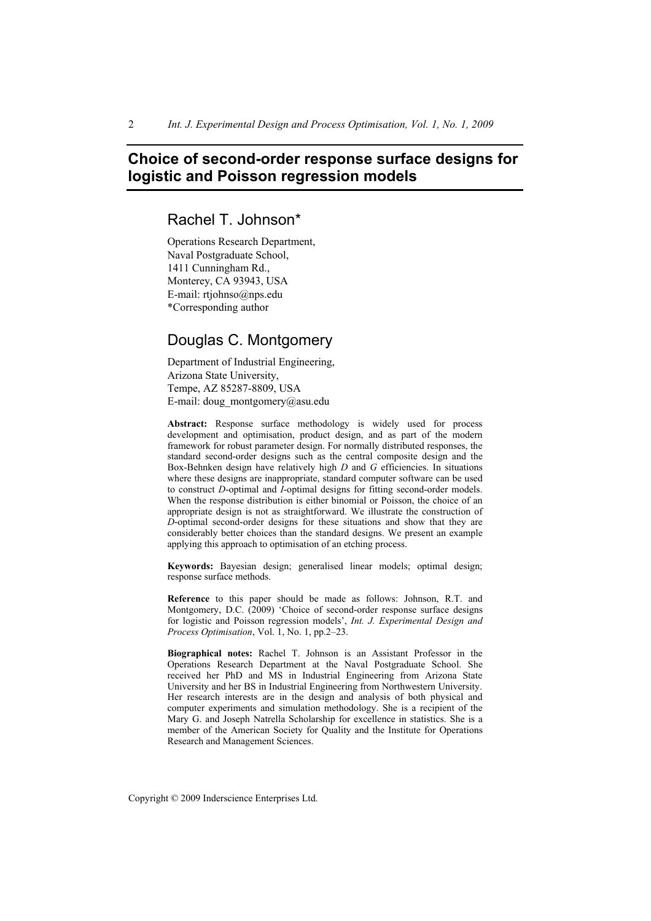# **Choice of second-order response surface designs for logistic and Poisson regression models**

Rachel T. Johnson\*

Operations Research Department, Naval Postgraduate School, 1411 Cunningham Rd., Monterey, CA 93943, USA E-mail: rtjohnso@nps.edu \*Corresponding author

## Douglas C. Montgomery

Department of Industrial Engineering, Arizona State University, Tempe, AZ 85287-8809, USA E-mail: doug\_montgomery@asu.edu

**Abstract:** Response surface methodology is widely used for process development and optimisation, product design, and as part of the modern framework for robust parameter design. For normally distributed responses, the standard second-order designs such as the central composite design and the Box-Behnken design have relatively high *D* and *G* efficiencies. In situations where these designs are inappropriate, standard computer software can be used to construct *D*-optimal and *I*-optimal designs for fitting second-order models. When the response distribution is either binomial or Poisson, the choice of an appropriate design is not as straightforward. We illustrate the construction of *D*-optimal second-order designs for these situations and show that they are considerably better choices than the standard designs. We present an example applying this approach to optimisation of an etching process.

**Keywords:** Bayesian design; generalised linear models; optimal design; response surface methods.

**Reference** to this paper should be made as follows: Johnson, R.T. and Montgomery, D.C. (2009) 'Choice of second-order response surface designs for logistic and Poisson regression models', *Int. J. Experimental Design and Process Optimisation*, Vol. 1, No. 1, pp.2–23.

**Biographical notes:** Rachel T. Johnson is an Assistant Professor in the Operations Research Department at the Naval Postgraduate School. She received her PhD and MS in Industrial Engineering from Arizona State University and her BS in Industrial Engineering from Northwestern University. Her research interests are in the design and analysis of both physical and computer experiments and simulation methodology. She is a recipient of the Mary G. and Joseph Natrella Scholarship for excellence in statistics. She is a member of the American Society for Quality and the Institute for Operations Research and Management Sciences.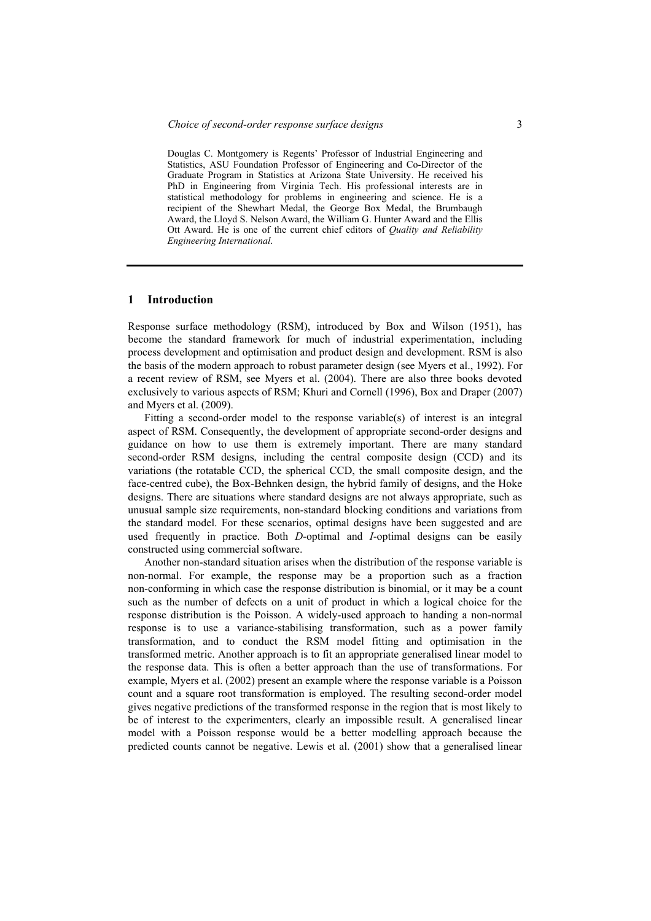Douglas C. Montgomery is Regents' Professor of Industrial Engineering and Statistics, ASU Foundation Professor of Engineering and Co-Director of the Graduate Program in Statistics at Arizona State University. He received his PhD in Engineering from Virginia Tech. His professional interests are in statistical methodology for problems in engineering and science. He is a recipient of the Shewhart Medal, the George Box Medal, the Brumbaugh Award, the Lloyd S. Nelson Award, the William G. Hunter Award and the Ellis Ott Award. He is one of the current chief editors of *Quality and Reliability Engineering International*.

#### **1 Introduction**

Response surface methodology (RSM), introduced by Box and Wilson (1951), has become the standard framework for much of industrial experimentation, including process development and optimisation and product design and development. RSM is also the basis of the modern approach to robust parameter design (see Myers et al., 1992). For a recent review of RSM, see Myers et al. (2004). There are also three books devoted exclusively to various aspects of RSM; Khuri and Cornell (1996), Box and Draper (2007) and Myers et al. (2009).

Fitting a second-order model to the response variable(s) of interest is an integral aspect of RSM. Consequently, the development of appropriate second-order designs and guidance on how to use them is extremely important. There are many standard second-order RSM designs, including the central composite design (CCD) and its variations (the rotatable CCD, the spherical CCD, the small composite design, and the face-centred cube), the Box-Behnken design, the hybrid family of designs, and the Hoke designs. There are situations where standard designs are not always appropriate, such as unusual sample size requirements, non-standard blocking conditions and variations from the standard model. For these scenarios, optimal designs have been suggested and are used frequently in practice. Both *D*-optimal and *I*-optimal designs can be easily constructed using commercial software.

Another non-standard situation arises when the distribution of the response variable is non-normal. For example, the response may be a proportion such as a fraction non-conforming in which case the response distribution is binomial, or it may be a count such as the number of defects on a unit of product in which a logical choice for the response distribution is the Poisson. A widely-used approach to handing a non-normal response is to use a variance-stabilising transformation, such as a power family transformation, and to conduct the RSM model fitting and optimisation in the transformed metric. Another approach is to fit an appropriate generalised linear model to the response data. This is often a better approach than the use of transformations. For example, Myers et al. (2002) present an example where the response variable is a Poisson count and a square root transformation is employed. The resulting second-order model gives negative predictions of the transformed response in the region that is most likely to be of interest to the experimenters, clearly an impossible result. A generalised linear model with a Poisson response would be a better modelling approach because the predicted counts cannot be negative. Lewis et al. (2001) show that a generalised linear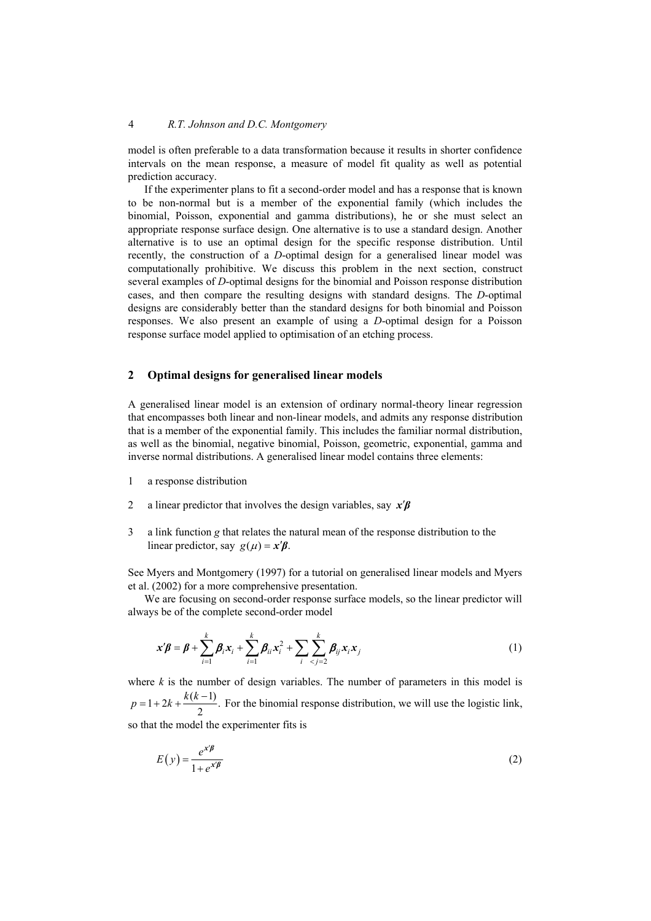model is often preferable to a data transformation because it results in shorter confidence intervals on the mean response, a measure of model fit quality as well as potential prediction accuracy.

If the experimenter plans to fit a second-order model and has a response that is known to be non-normal but is a member of the exponential family (which includes the binomial, Poisson, exponential and gamma distributions), he or she must select an appropriate response surface design. One alternative is to use a standard design. Another alternative is to use an optimal design for the specific response distribution. Until recently, the construction of a *D*-optimal design for a generalised linear model was computationally prohibitive. We discuss this problem in the next section, construct several examples of *D*-optimal designs for the binomial and Poisson response distribution cases, and then compare the resulting designs with standard designs. The *D*-optimal designs are considerably better than the standard designs for both binomial and Poisson responses. We also present an example of using a *D*-optimal design for a Poisson response surface model applied to optimisation of an etching process.

#### **2 Optimal designs for generalised linear models**

A generalised linear model is an extension of ordinary normal-theory linear regression that encompasses both linear and non-linear models, and admits any response distribution that is a member of the exponential family. This includes the familiar normal distribution, as well as the binomial, negative binomial, Poisson, geometric, exponential, gamma and inverse normal distributions. A generalised linear model contains three elements:

- 1 a response distribution
- 2 a linear predictor that involves the design variables, say  $x'\beta$
- 3 a link function *g* that relates the natural mean of the response distribution to the linear predictor, say  $g(\mu) = x' \beta$ .

See Myers and Montgomery (1997) for a tutorial on generalised linear models and Myers et al. (2002) for a more comprehensive presentation.

We are focusing on second-order response surface models, so the linear predictor will always be of the complete second-order model

$$
\mathbf{x}'\boldsymbol{\beta} = \boldsymbol{\beta} + \sum_{i=1}^k \boldsymbol{\beta}_i \mathbf{x}_i + \sum_{i=1}^k \boldsymbol{\beta}_{ii} \mathbf{x}_i^2 + \sum_i \sum_{j=2}^k \boldsymbol{\beta}_{ij} \mathbf{x}_i \mathbf{x}_j
$$
(1)

where  $k$  is the number of design variables. The number of parameters in this model is  $1 + 2k + \frac{k(k-1)}{2}$ .  $p = 1 + 2k + \frac{k(k-1)}{2}$ . For the binomial response distribution, we will use the logistic link, so that the model the experimenter fits is

$$
E(y) = \frac{e^{x'\beta}}{1 + e^{x'\beta}}
$$
 (2)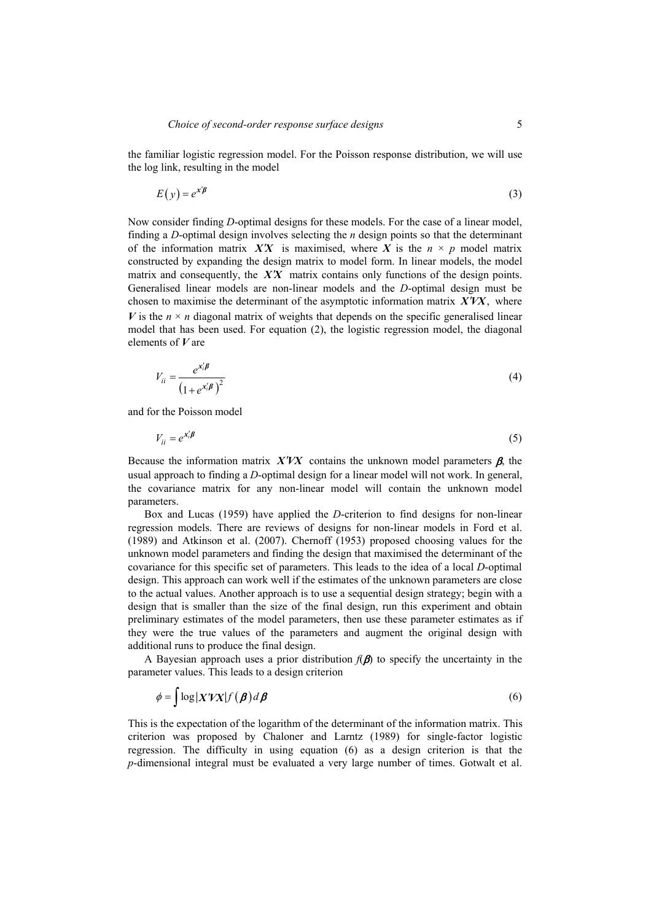the familiar logistic regression model. For the Poisson response distribution, we will use the log link, resulting in the model

$$
E(y) = e^{x'\beta} \tag{3}
$$

Now consider finding *D*-optimal designs for these models. For the case of a linear model, finding a *D*-optimal design involves selecting the *n* design points so that the determinant of the information matrix  $\mathbf{X}'\mathbf{X}$  is maximised, where  $\mathbf{X}$  is the  $n \times p$  model matrix constructed by expanding the design matrix to model form. In linear models, the model matrix and consequently, the  $\overline{XX}$  matrix contains only functions of the design points. Generalised linear models are non-linear models and the *D*-optimal design must be chosen to maximise the determinant of the asymptotic information matrix *X*!*VX*, where *V* is the  $n \times n$  diagonal matrix of weights that depends on the specific generalised linear model that has been used. For equation (2), the logistic regression model, the diagonal elements of *V* are

$$
V_{ii} = \frac{e^{x_i^t/\beta}}{\left(1 + e^{x_i^t/\beta}\right)^2}
$$
\n(4)

and for the Poisson model

$$
V_{ii} = e^{x_i' \beta} \tag{5}
$$

Because the information matrix  $X'VX$  contains the unknown model parameters  $\beta$ , the usual approach to finding a *D*-optimal design for a linear model will not work. In general, the covariance matrix for any non-linear model will contain the unknown model parameters.

Box and Lucas (1959) have applied the *D*-criterion to find designs for non-linear regression models. There are reviews of designs for non-linear models in Ford et al. (1989) and Atkinson et al. (2007). Chernoff (1953) proposed choosing values for the unknown model parameters and finding the design that maximised the determinant of the covariance for this specific set of parameters. This leads to the idea of a local *D*-optimal design. This approach can work well if the estimates of the unknown parameters are close to the actual values. Another approach is to use a sequential design strategy; begin with a design that is smaller than the size of the final design, run this experiment and obtain preliminary estimates of the model parameters, then use these parameter estimates as if they were the true values of the parameters and augment the original design with additional runs to produce the final design.

A Bayesian approach uses a prior distribution  $f(\beta)$  to specify the uncertainty in the parameter values. This leads to a design criterion

$$
\phi = \int \log |X'VX| f(\boldsymbol{\beta}) d\boldsymbol{\beta}
$$
\n(6)

This is the expectation of the logarithm of the determinant of the information matrix. This criterion was proposed by Chaloner and Larntz (1989) for single-factor logistic regression. The difficulty in using equation (6) as a design criterion is that the *p*-dimensional integral must be evaluated a very large number of times. Gotwalt et al.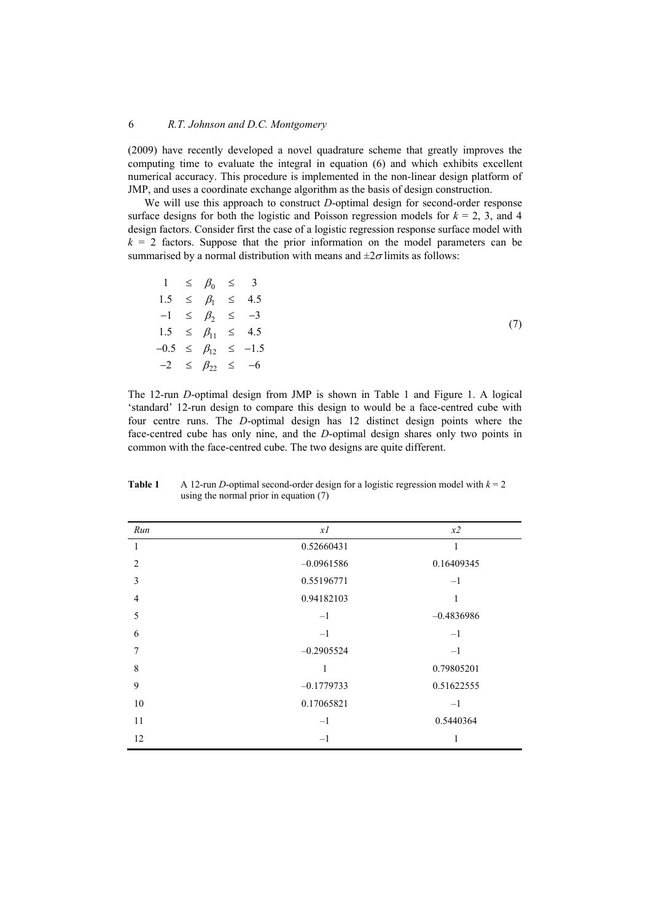(2009) have recently developed a novel quadrature scheme that greatly improves the computing time to evaluate the integral in equation (6) and which exhibits excellent numerical accuracy. This procedure is implemented in the non-linear design platform of JMP, and uses a coordinate exchange algorithm as the basis of design construction.

We will use this approach to construct *D*-optimal design for second-order response surface designs for both the logistic and Poisson regression models for  $k = 2, 3$ , and 4 design factors. Consider first the case of a logistic regression response surface model with  $k = 2$  factors. Suppose that the prior information on the model parameters can be summarised by a normal distribution with means and  $\pm 2\sigma$  limits as follows:

| $1 \leq \beta_0 \leq 3$     |  |                                  |
|-----------------------------|--|----------------------------------|
| $1.5 \leq \beta_1 \leq 4.5$ |  |                                  |
| $-1 \leq \beta_2 \leq -3$   |  |                                  |
|                             |  | $1.5 \leq \beta_{11} \leq 4.5$   |
|                             |  | $-0.5 \leq \beta_{12} \leq -1.5$ |
|                             |  | $-2 \leq \beta_{22} \leq -6$     |

The 12-run *D*-optimal design from JMP is shown in Table 1 and Figure 1. A logical 'standard' 12-run design to compare this design to would be a face-centred cube with four centre runs. The *D*-optimal design has 12 distinct design points where the face-centred cube has only nine, and the *D*-optimal design shares only two points in common with the face-centred cube. The two designs are quite different.

| Run            | xI           | x2           |
|----------------|--------------|--------------|
| 1              | 0.52660431   | 1            |
| 2              | $-0.0961586$ | 0.16409345   |
| $\overline{3}$ | 0.55196771   | $-1$         |
| $\overline{4}$ | 0.94182103   | 1            |
| 5              | $-1$         | $-0.4836986$ |
| 6              | $-1$         | $-1$         |
| 7              | $-0.2905524$ | $-1$         |
| 8              | 1            | 0.79805201   |
| 9              | $-0.1779733$ | 0.51622555   |
| 10             | 0.17065821   | $-1$         |
| 11             | $-1$         | 0.5440364    |
| 12             | $-1$         |              |

**Table 1** A 12-run *D*-optimal second-order design for a logistic regression model with  $k = 2$ using the normal prior in equation (7)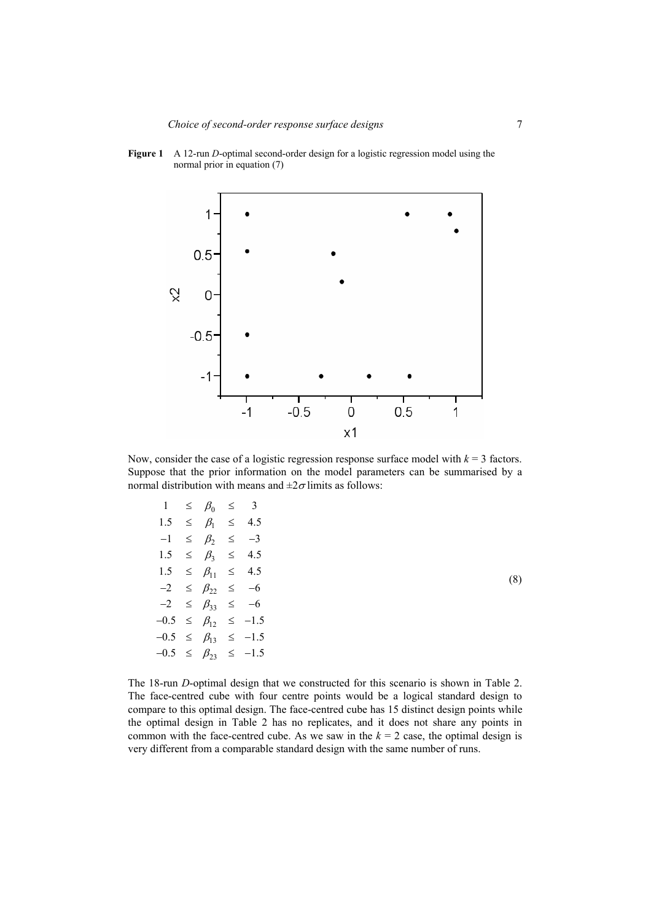

**Figure 1** A 12-run *D*-optimal second-order design for a logistic regression model using the normal prior in equation (7)

Now, consider the case of a logistic regression response surface model with  $k = 3$  factors. Suppose that the prior information on the model parameters can be summarised by a normal distribution with means and  $\pm 2\sigma$  limits as follows:

| $\mathbf{1}$ | $\leq$ | $\beta_0$    | $\leq$ | $\mathbf{3}$ |
|--------------|--------|--------------|--------|--------------|
| 1.5          | $\leq$ | $\beta_1$    | ≤      | 4.5          |
| $-1$         | $\leq$ | $\beta_2$    | ≤      | $-3$         |
| 1.5          | $\leq$ | $\beta_3$    | ≤      | 45           |
| 1.5          | $\leq$ | $\beta_{11}$ | ≤      | 4.5          |
| $-2$         | $\leq$ | $\beta_{22}$ | $\leq$ | $-6$         |
| $-2$         | $\leq$ | $\beta_{33}$ | $\leq$ | $-6$         |
| $-0.5$       | $\leq$ | $\beta_{12}$ | $\leq$ | $-1.5$       |
| $-0.5$       | $\leq$ | $\beta_{13}$ | $\leq$ | $-1.5$       |
| $-0.5$       | $\leq$ | $\beta_{23}$ | $\leq$ | $-1.5$       |
|              |        |              |        |              |

(8)

The 18-run *D*-optimal design that we constructed for this scenario is shown in Table 2. The face-centred cube with four centre points would be a logical standard design to compare to this optimal design. The face-centred cube has 15 distinct design points while the optimal design in Table 2 has no replicates, and it does not share any points in common with the face-centred cube. As we saw in the  $k = 2$  case, the optimal design is very different from a comparable standard design with the same number of runs.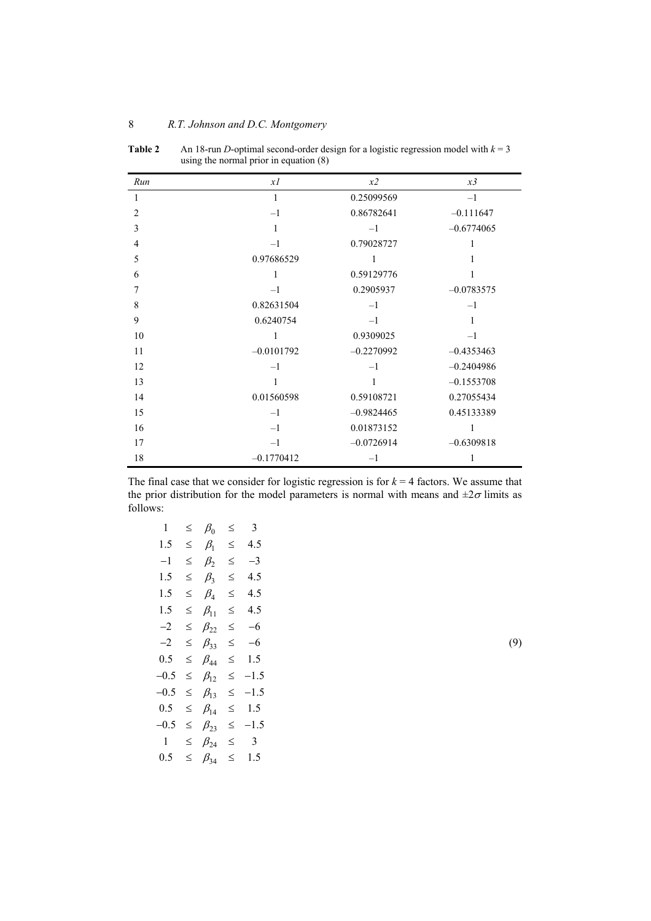| Run            | xI           | x2           | x3           |
|----------------|--------------|--------------|--------------|
| 1              | 1            | 0.25099569   | $-1$         |
| $\overline{2}$ | $-1$         | 0.86782641   | $-0.111647$  |
| 3              | 1            | $-1$         | $-0.6774065$ |
| $\overline{4}$ | $-1$         | 0.79028727   | 1            |
| 5              | 0.97686529   | 1            | 1            |
| 6              | 1            | 0.59129776   | 1            |
| 7              | $-1$         | 0.2905937    | $-0.0783575$ |
| 8              | 0.82631504   | $-1$         | $-1$         |
| 9              | 0.6240754    | $-1$         | 1            |
| 10             | 1            | 0.9309025    | $-1$         |
| 11             | $-0.0101792$ | $-0.2270992$ | $-0.4353463$ |
| 12             | $-1$         | $-1$         | $-0.2404986$ |
| 13             | 1            | 1            | $-0.1553708$ |
| 14             | 0.01560598   | 0.59108721   | 0.27055434   |
| 15             | $-1$         | $-0.9824465$ | 0.45133389   |
| 16             | $-1$         | 0.01873152   |              |
| 17             | $-1$         | $-0.0726914$ | $-0.6309818$ |
| 18             | $-0.1770412$ | $-1$         | 1            |

|  |  |  | $\mathbf{T}$ . It is a set of $\mathbf{A}$ is a set of $\mathbf{A}$ is a set of the set of $\mathbf{A}$ is a set of $\mathbf{A}$ is a set of $\mathbf{A}$ is a set of $\mathbf{A}$ is a set of $\mathbf{A}$ is a set of $\mathbf{A}$ is a set of $\mathbf{A}$ is a set |
|--|--|--|------------------------------------------------------------------------------------------------------------------------------------------------------------------------------------------------------------------------------------------------------------------------|
|  |  |  |                                                                                                                                                                                                                                                                        |

**Table 2** An 18-run *D*-optimal second-order design for a logistic regression model with  $k = 3$ using the normal prior in equation (8)

The final case that we consider for logistic regression is for  $k = 4$  factors. We assume that the prior distribution for the model parameters is normal with means and  $\pm 2\sigma$  limits as follows:

| $\mathbf{1}$ | ≤      | $\beta_0$    | ≤      | 3                       |
|--------------|--------|--------------|--------|-------------------------|
| 1.5          | ≤      | $\beta_1$    | ≤      | 4.5                     |
| $^{-1}$      | ≤      | $\beta_2$    | ≤      | $^{-3}$                 |
| 1.5          | ≤      | $\beta_3$    | ≤      | 4.5                     |
| 1.5          | ≤      | $\beta_4$    | ≤      | 4.5                     |
| 1.5          | ≤      | $\beta_{11}$ | ≤      | 4.5                     |
| $-2$         | ≤      | $\beta_{22}$ | ≤      | $-6$                    |
| $^{-2}$      | $\leq$ | $\beta_{33}$ | ≤      | -6                      |
| 0.5          | $\leq$ | $\beta_{44}$ | $\leq$ | 1.5                     |
| $-0.5$       | $\leq$ | $\beta_{12}$ | $\leq$ | $-1.5$                  |
| $-0.5$       | $\leq$ | $\beta_{13}$ | ≤      | $-1.5$                  |
| 0.5          | $\leq$ | $\beta_{14}$ | $\leq$ | 1.5                     |
| $-0.5$       | ≤      | $\beta_{23}$ | ≤      | $-1.5$                  |
| $\mathbf{1}$ | ≤      | $\beta_{24}$ | ≤      | $\overline{\mathbf{3}}$ |
| 0.5          | ≤      | $\beta_{34}$ | ≤      | 1.5                     |

(9)

8 *R.T. Johnson and D.C. Montgomery*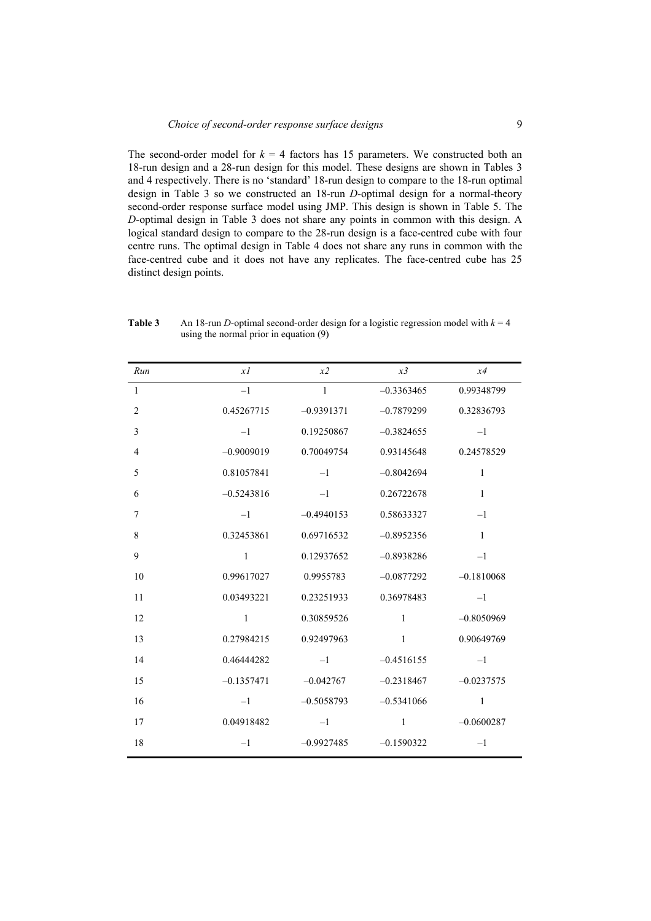The second-order model for  $k = 4$  factors has 15 parameters. We constructed both an 18-run design and a 28-run design for this model. These designs are shown in Tables 3 and 4 respectively. There is no 'standard' 18-run design to compare to the 18-run optimal design in Table 3 so we constructed an 18-run *D*-optimal design for a normal-theory second-order response surface model using JMP. This design is shown in Table 5. The *D*-optimal design in Table 3 does not share any points in common with this design. A logical standard design to compare to the 28-run design is a face-centred cube with four centre runs. The optimal design in Table 4 does not share any runs in common with the face-centred cube and it does not have any replicates. The face-centred cube has 25 distinct design points.

| Run            | xI           | x2           | x3           | x4           |
|----------------|--------------|--------------|--------------|--------------|
| $\mathbf{1}$   | $-1$         | $\mathbf{1}$ | $-0.3363465$ | 0.99348799   |
| $\overline{2}$ | 0.45267715   | $-0.9391371$ | $-0.7879299$ | 0.32836793   |
| 3              | $-1$         | 0.19250867   | $-0.3824655$ | $-1$         |
| $\overline{4}$ | $-0.9009019$ | 0.70049754   | 0.93145648   | 0.24578529   |
| 5              | 0.81057841   | $-1$         | $-0.8042694$ | $\mathbf{1}$ |
| 6              | $-0.5243816$ | $-1$         | 0.26722678   | $\mathbf{1}$ |
| 7              | $-1$         | $-0.4940153$ | 0.58633327   | $-1$         |
| 8              | 0.32453861   | 0.69716532   | $-0.8952356$ | $\mathbf{1}$ |
| 9              | $\mathbf{1}$ | 0.12937652   | $-0.8938286$ | $-1$         |
| 10             | 0.99617027   | 0.9955783    | $-0.0877292$ | $-0.1810068$ |
| 11             | 0.03493221   | 0.23251933   | 0.36978483   | $-1$         |
| 12             | 1            | 0.30859526   | $\mathbf{1}$ | $-0.8050969$ |
| 13             | 0.27984215   | 0.92497963   | $\mathbf{1}$ | 0.90649769   |
| 14             | 0.46444282   | $-1$         | $-0.4516155$ | $-1$         |
| 15             | $-0.1357471$ | $-0.042767$  | $-0.2318467$ | $-0.0237575$ |
| 16             | $-1$         | $-0.5058793$ | $-0.5341066$ | $\mathbf{1}$ |
| 17             | 0.04918482   | $-1$         | $\mathbf{1}$ | $-0.0600287$ |
| 18             | $-1$         | $-0.9927485$ | $-0.1590322$ | $-1$         |

**Table 3** An 18-run *D*-optimal second-order design for a logistic regression model with  $k = 4$ using the normal prior in equation (9)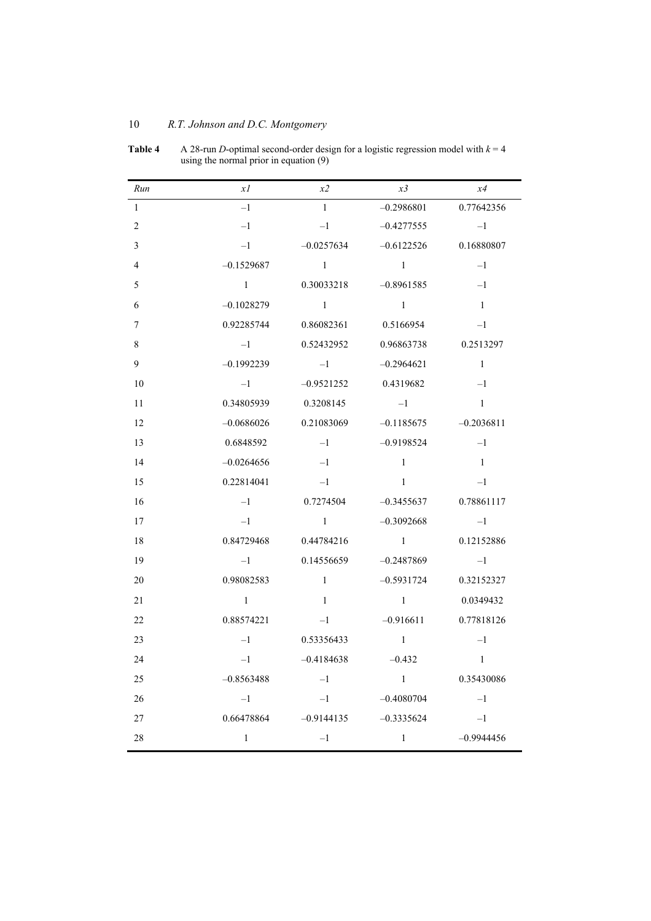| Run            | xI           | x2             | x3             | x4             |
|----------------|--------------|----------------|----------------|----------------|
| $\mathbf{1}$   | $-1$         | $\mathbf{1}$   | $-0.2986801$   | 0.77642356     |
| $\overline{2}$ | $-1$         | $-1$           | $-0.4277555$   | $-1$           |
| $\mathfrak{Z}$ | $-1$         | $-0.0257634$   | $-0.6122526$   | 0.16880807     |
| $\overline{4}$ | $-0.1529687$ | $\sim$ 1       | $\overline{1}$ | $-1$           |
| 5              | $\mathbf{1}$ | 0.30033218     | $-0.8961585$   | $-1$           |
| 6              | $-0.1028279$ | $\sim$ 1       | $\overline{1}$ | -1             |
| $\tau$         | 0.92285744   | 0.86082361     | 0.5166954      | $-\mathbf{1}$  |
| $8\,$          | $-1$         | 0.52432952     | 0.96863738     | 0.2513297      |
| 9              | $-0.1992239$ | $-1$           | $-0.2964621$   | $\overline{1}$ |
| 10             | $-1$         | $-0.9521252$   | 0.4319682      | $-1$           |
| 11             | 0.34805939   | 0.3208145      | $-1$           | $\mathbf{1}$   |
| 12             | $-0.0686026$ | 0.21083069     | $-0.1185675$   | $-0.2036811$   |
| 13             | 0.6848592    | $-1$           | $-0.9198524$   | $-1$           |
| 14             | $-0.0264656$ | $-1$           | $\mathbf{1}$   | -1             |
| 15             | 0.22814041   | $-1$           | $\mathbf{1}$   | $-1$           |
| 16             | $-1$         | 0.7274504      | $-0.3455637$   | 0.78861117     |
| 17             | $-1$         | $\overline{1}$ | $-0.3092668$   | $-1$           |
| 18             | 0.84729468   | 0.44784216     | $\sim$ 1       | 0.12152886     |
| 19             | $-1$         | 0.14556659     | $-0.2487869$   | $-1$           |
| 20             | 0.98082583   | $\blacksquare$ | $-0.5931724$   | 0.32152327     |
| 21             | $\mathbf{1}$ | $\overline{1}$ | $\mathbf{1}$   | 0.0349432      |
| 22             | 0.88574221   | $-1$           | $-0.916611$    | 0.77818126     |
| 23             | $-1$         | 0.53356433     | $\mathbf{1}$   | $-1$           |
| 24             | $-1$         | $-0.4184638$   | $-0.432$       | $\mathbf{1}$   |
| 25             | $-0.8563488$ | $-1$           | $\mathbf{1}$   | 0.35430086     |
| 26             | $-1$         | $-1$           | $-0.4080704$   | $-1$           |
| $27\,$         | 0.66478864   | $-0.9144135$   | $-0.3335624$   | $-1$           |
| 28             | $\mathbf{1}$ | $-1$           | $\,1$          | $-0.9944456$   |

**Table 4** A 28-run *D*-optimal second-order design for a logistic regression model with  $k = 4$ using the normal prior in equation (9)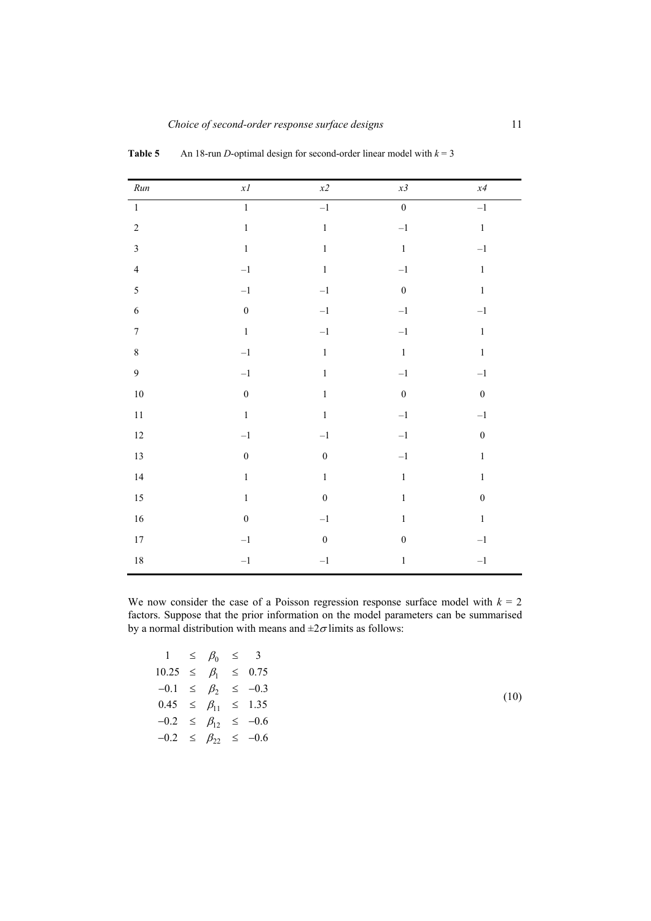| $\it Run$               | $x\mathcal{I}$   | $x\mathbf{2}$    | x3               | x4               |
|-------------------------|------------------|------------------|------------------|------------------|
| $\mathbf{1}$            | $\mathbf{1}$     | $-1$             | $\overline{0}$   | $-1$             |
| $\sqrt{2}$              | $\,1$            | $\,1\,$          | $-1\,$           | $\,1\,$          |
| $\mathfrak{Z}$          | $\,1$            | $\,1\,$          | $\,1\,$          | $-1$             |
| $\overline{\mathbf{4}}$ | $-1\,$           | $\,1\,$          | $-1\,$           | $\,1\,$          |
| 5                       | $-1\,$           | $-1\,$           | $\boldsymbol{0}$ | $\,1\,$          |
| $\sqrt{6}$              | $\boldsymbol{0}$ | $-1\,$           | $-1\,$           | $^{\rm -1}$      |
| $\boldsymbol{7}$        | $\,1\,$          | $-1\,$           | $-1\,$           | $\,1\,$          |
| $\,$ $\,$               | $-1\,$           | $\,1\,$          | $\,1\,$          | $\,1$            |
| 9                       | $-1$             | $\,1\,$          | $-1\,$           | $-1\,$           |
| $10\,$                  | $\boldsymbol{0}$ | $\,1\,$          | $\boldsymbol{0}$ | $\boldsymbol{0}$ |
| $11\,$                  | $\,1$            | $\,1\,$          | $-1\,$           | $-1$             |
| $12\,$                  | $-1\,$           | $-1\,$           | $-1\,$           | $\boldsymbol{0}$ |
| $13\,$                  | $\boldsymbol{0}$ | $\boldsymbol{0}$ | $-1\,$           | $\,1\,$          |
| $14$                    | $\,1$            | $\,1\,$          | $\,1$            | $\,1\,$          |
| $15\,$                  | $\,1$            | $\boldsymbol{0}$ | $\,1$            | $\boldsymbol{0}$ |
| $16$                    | $\boldsymbol{0}$ | $-1\,$           | $\,1$            | $\,1$            |
| $17\,$                  | $-1\,$           | $\boldsymbol{0}$ | $\boldsymbol{0}$ | $-1$             |
| $18\,$                  | $-1$             | $-1$             | $\,1$            | $-1\,$           |
|                         |                  |                  |                  |                  |

**Table 5** An 18-run *D*-optimal design for second-order linear model with  $k = 3$ 

We now consider the case of a Poisson regression response surface model with  $k = 2$ factors. Suppose that the prior information on the model parameters can be summarised by a normal distribution with means and  $\pm 2\sigma$  limits as follows:

| $1 \leq \beta_0 \leq 3$          |  |  |
|----------------------------------|--|--|
| $10.25 \leq \beta_1 \leq 0.75$   |  |  |
| $-0.1 \leq \beta_2 \leq -0.3$    |  |  |
| $0.45 \leq \beta_{11} \leq 1.35$ |  |  |
| $-0.2 \leq \beta_{12} \leq -0.6$ |  |  |
| $-0.2 \leq \beta_{22} \leq -0.6$ |  |  |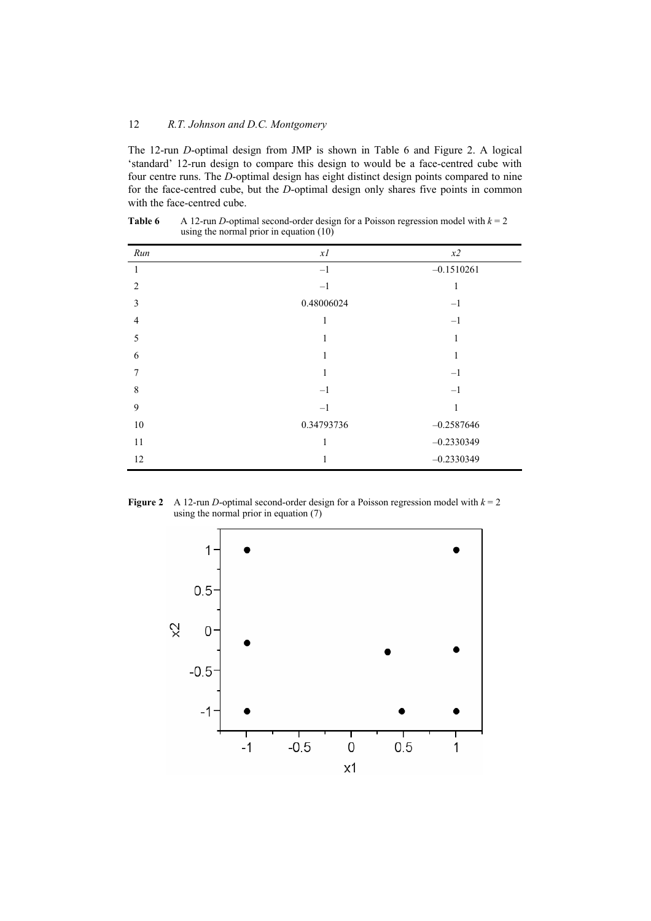The 12-run *D*-optimal design from JMP is shown in Table 6 and Figure 2. A logical 'standard' 12-run design to compare this design to would be a face-centred cube with four centre runs. The *D*-optimal design has eight distinct design points compared to nine for the face-centred cube, but the *D*-optimal design only shares five points in common with the face-centred cube.

| Run            | xI         | $x\mathbf{2}$ |
|----------------|------------|---------------|
| 1              | $-1$       | $-0.1510261$  |
| $\overline{2}$ | $-1$       | 1             |
| 3              | 0.48006024 | $-1$          |
| $\overline{4}$ | 1          | $-1$          |
| 5              | 1          | 1             |
| 6              | 1          | 1             |
| 7              | 1          | $-1$          |
| 8              | $-1$       | $^{-1}$       |
| 9              | $-1$       | 1             |
| $10\,$         | 0.34793736 | $-0.2587646$  |
| 11             | 1          | $-0.2330349$  |
| 12             | 1          | $-0.2330349$  |

**Table 6** A 12-run *D*-optimal second-order design for a Poisson regression model with  $k = 2$ using the normal prior in equation (10)

**Figure 2** A 12-run *D*-optimal second-order design for a Poisson regression model with  $k = 2$ using the normal prior in equation (7)

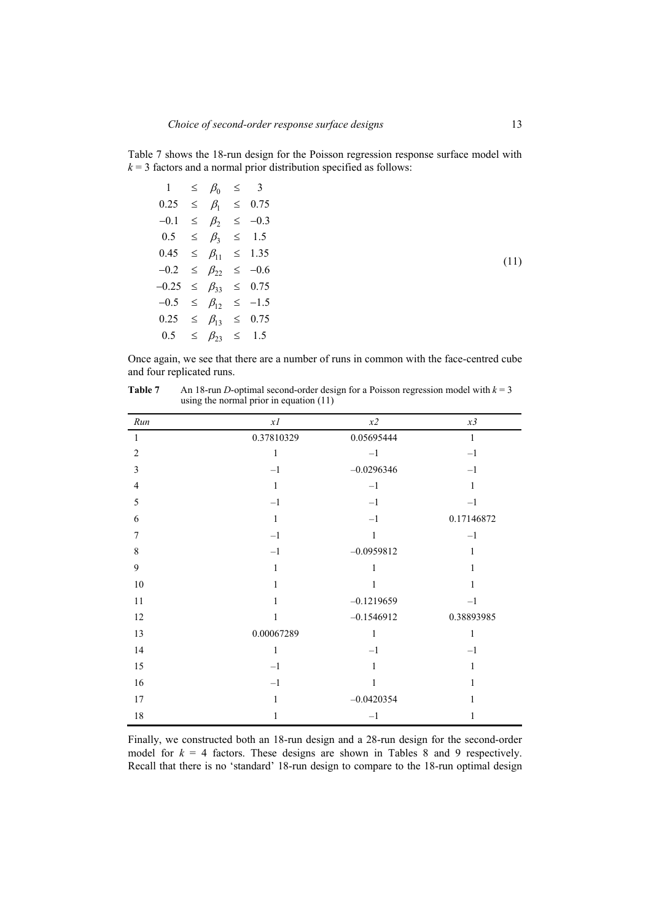Table 7 shows the 18-run design for the Poisson regression response surface model with  $k = 3$  factors and a normal prior distribution specified as follows:

| $1 \leq \beta_0 \leq 3$           |  |  |
|-----------------------------------|--|--|
| $0.25 \leq \beta_1 \leq 0.75$     |  |  |
| $-0.1 \leq \beta_2 \leq -0.3$     |  |  |
| $0.5 \leq \beta_3 \leq 1.5$       |  |  |
| $0.45 \leq \beta_{11} \leq 1.35$  |  |  |
| $-0.2 \leq \beta_{22} \leq -0.6$  |  |  |
| $-0.25 \leq \beta_{33} \leq 0.75$ |  |  |
| $-0.5 \leq \beta_{12} \leq -1.5$  |  |  |
| $0.25 \leq \beta_{13} \leq 0.75$  |  |  |
| $0.5 \leq \beta_{23} \leq 1.5$    |  |  |

Once again, we see that there are a number of runs in common with the face-centred cube and four replicated runs.

| Run            | xI           | $x\mathbf{2}$ | $x\mathfrak{Z}$ |
|----------------|--------------|---------------|-----------------|
| $\mathbf{1}$   | 0.37810329   | 0.05695444    | $\mathbf{1}$    |
| $\overline{2}$ | $\mathbf{1}$ | $-1$          | $-1$            |
| 3              | $-1$         | $-0.0296346$  | $-1$            |
| $\overline{4}$ | $\mathbf{1}$ | $-1$          | $\mathbf{1}$    |
| 5              | $-1$         | $-1$          | $-1$            |
| 6              | $\mathbf{1}$ | $-1$          | 0.17146872      |
| $\overline{7}$ | $-1$         | $\mathbf{1}$  | $-1$            |
| 8              | $-1$         | $-0.0959812$  | $\mathbf{1}$    |
| 9              | $\mathbf{1}$ | $\mathbf{1}$  | 1               |
| 10             | 1            | $\mathbf{1}$  | 1               |
| 11             | 1            | $-0.1219659$  | $-1$            |
| 12             | 1            | $-0.1546912$  | 0.38893985      |
| 13             | 0.00067289   | $\mathbf{1}$  | $\mathbf{1}$    |
| 14             | 1            | $-1$          | $-1$            |
| 15             | $-1$         | 1             | 1               |
| 16             | $-1$         | 1             | 1               |
| 17             | 1            | $-0.0420354$  | 1               |
| 18             | 1            | $-1$          | 1               |

**Table 7** An 18-run *D*-optimal second-order design for a Poisson regression model with  $k = 3$ using the normal prior in equation (11)

Finally, we constructed both an 18-run design and a 28-run design for the second-order model for  $k = 4$  factors. These designs are shown in Tables 8 and 9 respectively. Recall that there is no 'standard' 18-run design to compare to the 18-run optimal design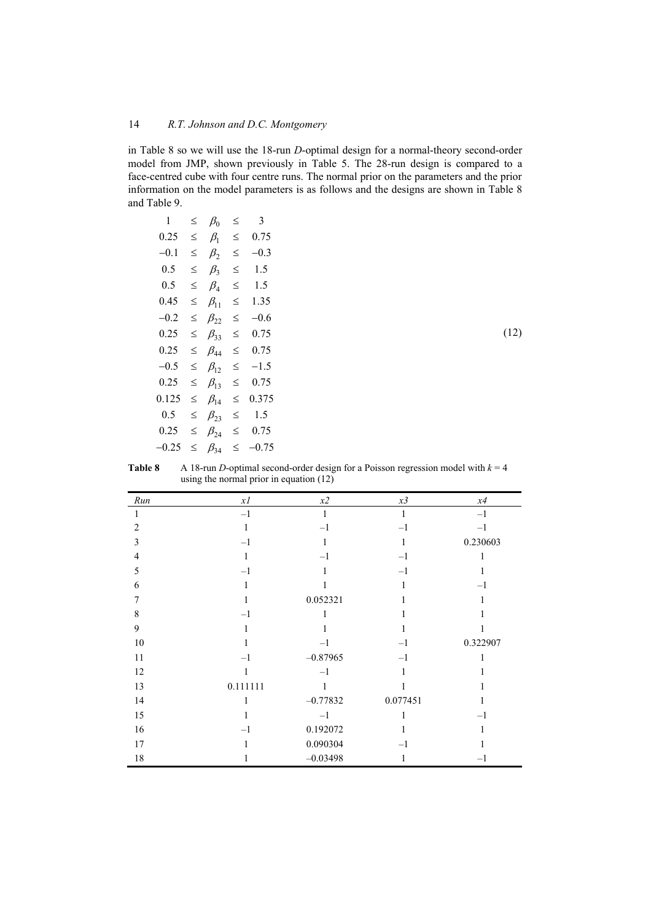in Table 8 so we will use the 18-run *D*-optimal design for a normal-theory second-order model from JMP, shown previously in Table 5. The 28-run design is compared to a face-centred cube with four centre runs. The normal prior on the parameters and the prior information on the model parameters is as follows and the designs are shown in Table 8 and Table 9.

 $(12)$ 

| 1       | ≤      | $\beta_0$    | ≤ | 3       |
|---------|--------|--------------|---|---------|
| 0.25    | ≤      | $\beta_1$    | ≤ | 0.75    |
| $-0.1$  | ≤      | $\beta_2$    | ≤ | $-0.3$  |
| 0.5     | ≤      | $\beta_3$    | ≤ | 1.5     |
| 0.5     | ≤      | $\beta_4$    | ≤ | 1.5     |
| 0.45    | ≤      | $\beta_{11}$ | ≤ | 1.35    |
| $-0.2$  | $\leq$ | $\beta_{22}$ | ≤ | $-0.6$  |
| 0.25    | ≤      | $\beta_{33}$ | ≤ | 0.75    |
| 0.25    | ≤      | $\beta_{AA}$ | ≤ | 0.75    |
| $-0.5$  | ≤      | $\beta_{12}$ | ≤ | $-1.5$  |
| 0.25    | ≤      | $\beta_{13}$ | ≤ | 0.75    |
| 0.125   | ≤      | $\beta_{14}$ | ≤ | 0.375   |
| 0.5     | ≤      | $\beta_{23}$ | ≤ | 1.5     |
| 0.25    | ≤      | $\beta_{24}$ | ≤ | 0.75    |
| $-0.25$ | ≤      | $\beta_{34}$ | ≤ | $-0.75$ |

| <b>Table 8</b> | A 18-run D-optimal second-order design for a Poisson regression model with $k = 4$ |
|----------------|------------------------------------------------------------------------------------|
|                | using the normal prior in equation $(12)$                                          |

| Run            | x1       | x2         | x3       | x4       |
|----------------|----------|------------|----------|----------|
|                | $-1$     | 1          | 1        | $-1$     |
| $\overline{2}$ | 1        | $-1$       | $-1$     | $-1$     |
| $\overline{3}$ | $-1$     |            | 1        | 0.230603 |
| $\overline{4}$ | 1        | $-1$       | $-1$     |          |
| 5              | $-1$     | 1          | $-1$     |          |
| 6              | 1        |            | 1        | $-1$     |
| 7              | 1        | 0.052321   | 1        |          |
| 8              | $-1$     |            |          |          |
| 9              |          |            |          |          |
| $10\,$         |          | $-1$       | $-1$     | 0.322907 |
| 11             | $-1$     | $-0.87965$ | $-1$     |          |
| 12             |          | $-1$       | 1        |          |
| 13             | 0.111111 |            |          |          |
| 14             | 1        | $-0.77832$ | 0.077451 |          |
| 15             |          | $-1$       | 1        | $-1$     |
| 16             | $-1$     | 0.192072   |          |          |
| 17             |          | 0.090304   | $-1$     |          |
| 18             |          | $-0.03498$ | 1        | $-1$     |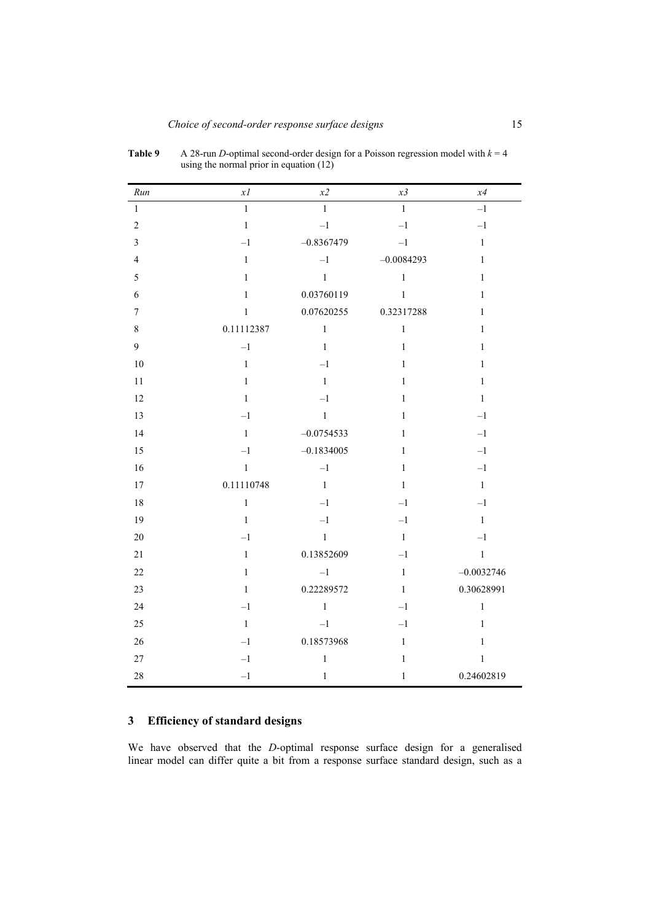| Run                     | $x\mathfrak{l}$ | x2           | x3           | $x4$         |
|-------------------------|-----------------|--------------|--------------|--------------|
| $\mathbf{1}$            | $\,1$           | $\,1$        | $\mathbf{1}$ | $-1$         |
| $\sqrt{2}$              | $\,1\,$         | $-1$         | $-1$         | $-1\,$       |
| $\overline{\mathbf{3}}$ | $-1$            | $-0.8367479$ | $-1$         | $\mathbf{1}$ |
| $\overline{4}$          | $\,1$           | $-1$         | $-0.0084293$ | $\,1\,$      |
| 5                       | $\,1\,$         | $\,1\,$      | $\mathbf{1}$ | $\,1\,$      |
| 6                       | $\,1\,$         | 0.03760119   | $\,1$        | $\mathbf{1}$ |
| $\boldsymbol{7}$        | $\mathbf{1}$    | 0.07620255   | 0.32317288   | $\,1\,$      |
| $\,8\,$                 | 0.11112387      | $\,1$        | $\mathbf{1}$ | $\,1\,$      |
| 9                       | $-1$            | $\,1$        | $\,1$        | $\,1$        |
| $10\,$                  | $\,1\,$         | $-1$         | $\mathbf{1}$ | $\mathbf{1}$ |
| 11                      | $\,1\,$         | $\mathbf{1}$ | $\,1$        | $\mathbf{1}$ |
| 12                      | $\,1\,$         | $-1$         | $\,1$        | $\mathbf{1}$ |
| 13                      | $-1$            | $\,1$        | $\,1$        | $-1$         |
| 14                      | $\,1\,$         | $-0.0754533$ | $\,1$        | $-1$         |
| 15                      | $-1$            | $-0.1834005$ | $\,1$        | $-1\,$       |
| 16                      | $\,1\,$         | $-1$         | $\,1$        | $-1$         |
| 17                      | 0.11110748      | $\mathbf{1}$ | $\mathbf{1}$ | $\mathbf{1}$ |
| $18\,$                  | $\,1$           | $-1$         | $-1$         | $-1\,$       |
| 19                      | $\mathbf{1}$    | $-1$         | $-1$         | $\mathbf{1}$ |
| $20\,$                  | $-1$            | $\,1$        | $\,1\,$      | $-1$         |
| $21\,$                  | $\,1\,$         | 0.13852609   | $-1$         | $\,1\,$      |
| $22\,$                  | $\,1$           | $-1$         | $\,1\,$      | $-0.0032746$ |
| $23\,$                  | $\,1\,$         | 0.22289572   | $\mathbf{1}$ | 0.30628991   |
| 24                      | $-1$            | $\,1$        | $-1$         | $\,1$        |
| 25                      | $\,1\,$         | $-1$         | $-1$         | $\,1\,$      |
| $26\,$                  | $-1$            | 0.18573968   | $\,1$        | $\,1\,$      |
| $27\,$                  | $-1$            | $\,1$        | $\,1\,$      | $\,1$        |
| 28                      | $-1$            | $\mathbf{1}$ | $\mathbf{1}$ | 0.24602819   |

**Table 9** A 28-run *D*-optimal second-order design for a Poisson regression model with  $k = 4$ using the normal prior in equation (12)

## **3 Efficiency of standard designs**

We have observed that the *D*-optimal response surface design for a generalised linear model can differ quite a bit from a response surface standard design, such as a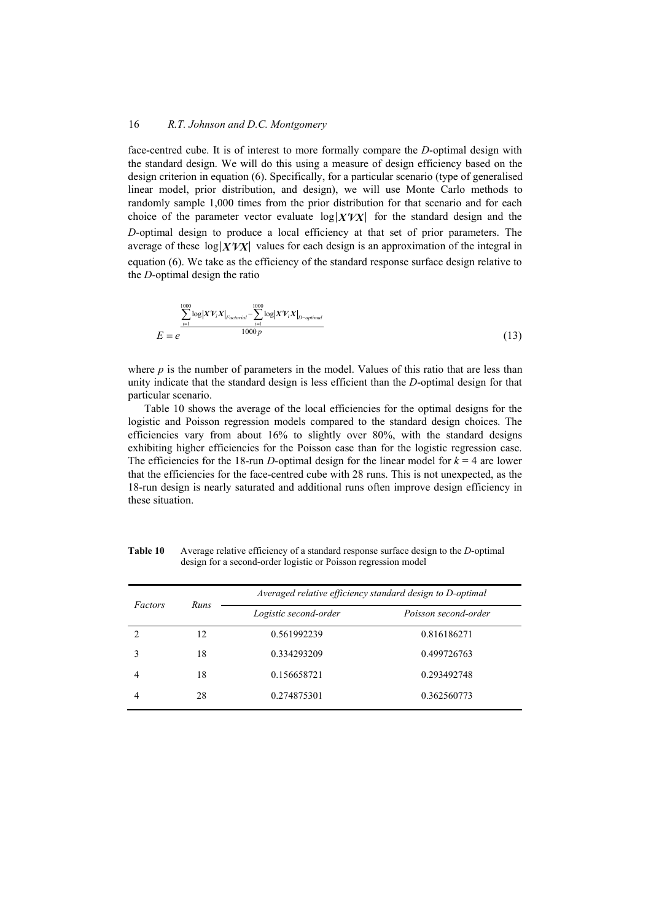face-centred cube. It is of interest to more formally compare the *D*-optimal design with the standard design. We will do this using a measure of design efficiency based on the design criterion in equation (6). Specifically, for a particular scenario (type of generalised linear model, prior distribution, and design), we will use Monte Carlo methods to randomly sample 1,000 times from the prior distribution for that scenario and for each choice of the parameter vector evaluate  $log|X'VX|$  for the standard design and the *D*-optimal design to produce a local efficiency at that set of prior parameters. The average of these  $\log |X'VX|$  values for each design is an approximation of the integral in equation (6). We take as the efficiency of the standard response surface design relative to the *D*-optimal design the ratio

$$
E = e^{\frac{1000}{2} \log |XY_iX|_{Factorial} - \sum_{i=1}^{1000} \log |XY_iX|_{D-optimal}} \tag{13}
$$

where  $p$  is the number of parameters in the model. Values of this ratio that are less than unity indicate that the standard design is less efficient than the *D*-optimal design for that particular scenario.

Table 10 shows the average of the local efficiencies for the optimal designs for the logistic and Poisson regression models compared to the standard design choices. The efficiencies vary from about 16% to slightly over 80%, with the standard designs exhibiting higher efficiencies for the Poisson case than for the logistic regression case. The efficiencies for the 18-run *D*-optimal design for the linear model for  $k = 4$  are lower that the efficiencies for the face-centred cube with 28 runs. This is not unexpected, as the 18-run design is nearly saturated and additional runs often improve design efficiency in these situation.

|         |      | Averaged relative efficiency standard design to D-optimal |                      |  |  |
|---------|------|-----------------------------------------------------------|----------------------|--|--|
| Factors | Runs | Logistic second-order                                     | Poisson second-order |  |  |
|         | 12   | 0.561992239                                               | 0.816186271          |  |  |
|         | 18   | 0.334293209                                               | 0.499726763          |  |  |
|         | 18   | 0.156658721                                               | 0.293492748          |  |  |
|         | 28   | 0.274875301                                               | 0.362560773          |  |  |

**Table 10** Average relative efficiency of a standard response surface design to the *D*-optimal design for a second-order logistic or Poisson regression model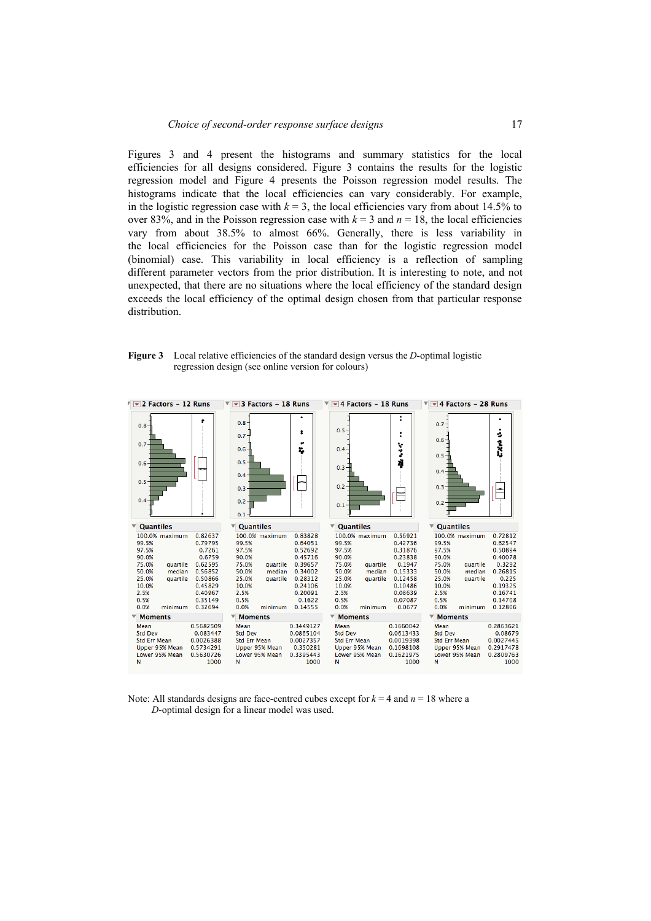Figures 3 and 4 present the histograms and summary statistics for the local efficiencies for all designs considered. Figure 3 contains the results for the logistic regression model and Figure 4 presents the Poisson regression model results. The histograms indicate that the local efficiencies can vary considerably. For example, in the logistic regression case with  $k = 3$ , the local efficiencies vary from about 14.5% to over 83%, and in the Poisson regression case with  $k = 3$  and  $n = 18$ , the local efficiencies vary from about 38.5% to almost 66%. Generally, there is less variability in the local efficiencies for the Poisson case than for the logistic regression model (binomial) case. This variability in local efficiency is a reflection of sampling different parameter vectors from the prior distribution. It is interesting to note, and not unexpected, that there are no situations where the local efficiency of the standard design exceeds the local efficiency of the optimal design chosen from that particular response distribution.

#### **Figure 3** Local relative efficiencies of the standard design versus the *D*-optimal logistic regression design (see online version for colours)



Note: All standards designs are face-centred cubes except for  $k = 4$  and  $n = 18$  where a *D*-optimal design for a linear model was used.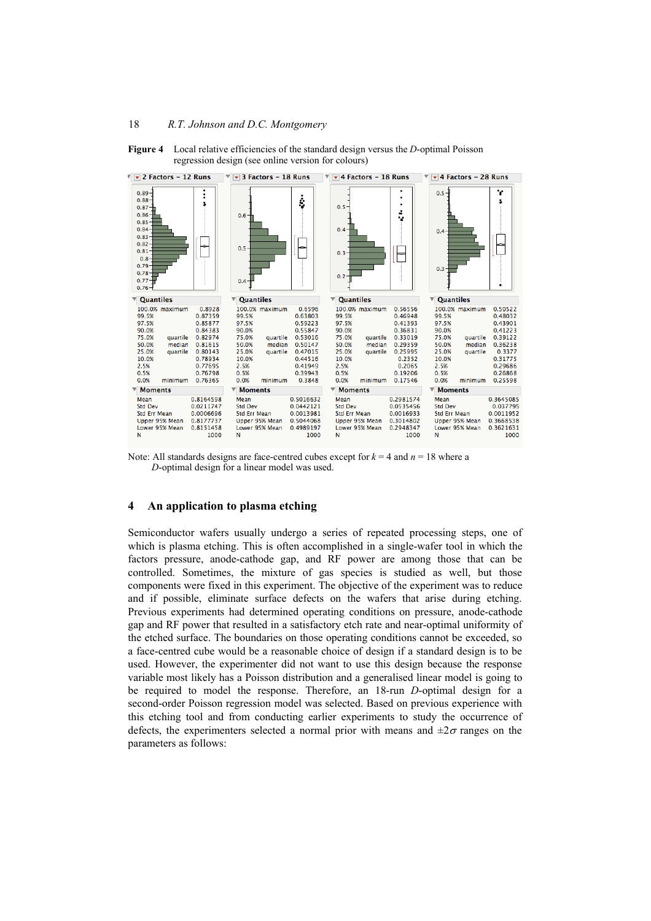

**Figure 4** Local relative efficiencies of the standard design versus the *D*-optimal Poisson regression design (see online version for colours)

Note: All standards designs are face-centred cubes except for  $k = 4$  and  $n = 18$  where a *D*-optimal design for a linear model was used.

#### **4 An application to plasma etching**

Semiconductor wafers usually undergo a series of repeated processing steps, one of which is plasma etching. This is often accomplished in a single-wafer tool in which the factors pressure, anode-cathode gap, and RF power are among those that can be controlled. Sometimes, the mixture of gas species is studied as well, but those components were fixed in this experiment. The objective of the experiment was to reduce and if possible, eliminate surface defects on the wafers that arise during etching. Previous experiments had determined operating conditions on pressure, anode-cathode gap and RF power that resulted in a satisfactory etch rate and near-optimal uniformity of the etched surface. The boundaries on those operating conditions cannot be exceeded, so a face-centred cube would be a reasonable choice of design if a standard design is to be used. However, the experimenter did not want to use this design because the response variable most likely has a Poisson distribution and a generalised linear model is going to be required to model the response. Therefore, an 18-run *D*-optimal design for a second-order Poisson regression model was selected. Based on previous experience with this etching tool and from conducting earlier experiments to study the occurrence of defects, the experimenters selected a normal prior with means and  $\pm 2\sigma$  ranges on the parameters as follows: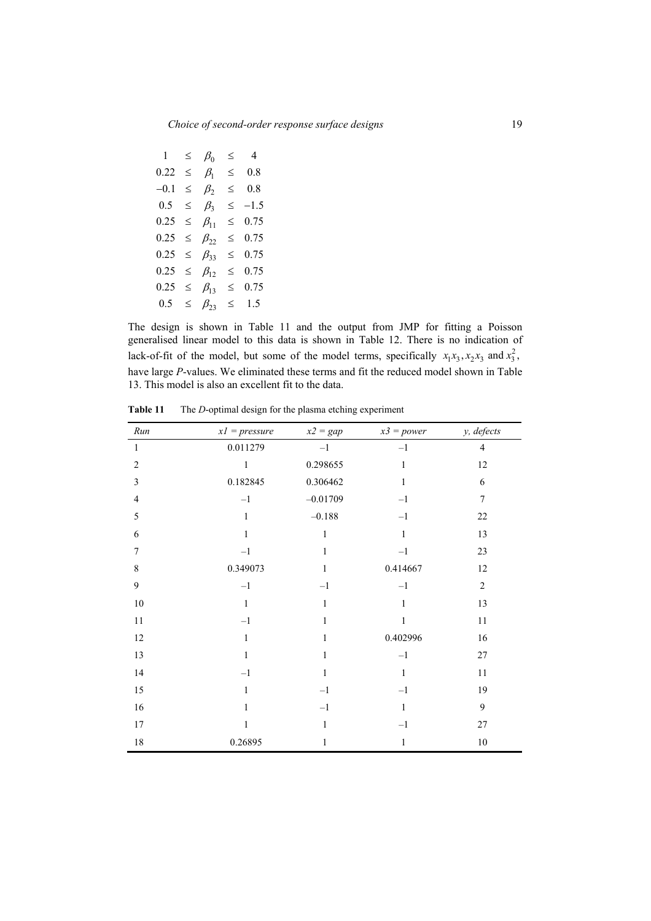| 1.     | ≤      | $\beta_0$    | ≤      | 4      |
|--------|--------|--------------|--------|--------|
| 0.22   | ≤      | $\beta_1$    | $\leq$ | 0.8    |
| $-0.1$ | ≤      | $\beta_2$    | ≤      | 0.8    |
| 0.5    | $\leq$ | $\beta_{3}$  | $\leq$ | $-1.5$ |
| 0.25   | $\leq$ | $\beta_{11}$ | ≤      | 0.75   |
| 0.25   | $\leq$ | $B_{22}$     | ≤      | 0.75   |
| 0.25   | ≤      | $\beta_{33}$ | $\leq$ | 0.75   |
| 0.25   | ≤      | $\beta_{12}$ | $\leq$ | 0.75   |
| 0.25   | ≤      | $\beta_{13}$ | ≤      | 0.75   |
| 0.5    | ≤      | $\beta_{23}$ | ≤      | 1.5    |

The design is shown in Table 11 and the output from JMP for fitting a Poisson generalised linear model to this data is shown in Table 12. There is no indication of lack-of-fit of the model, but some of the model terms, specifically  $x_1x_3, x_2x_3$  and  $x_3^2$ , have large *P*-values. We eliminated these terms and fit the reduced model shown in Table 13. This model is also an excellent fit to the data.

| Run            | $xI = pressure$ | $x2 = gap$   | $x3 = power$ | y, defects     |
|----------------|-----------------|--------------|--------------|----------------|
| $\,1$          | 0.011279        | $-1$         | $-1$         | $\overline{4}$ |
| $\overline{2}$ | $\,1$           | 0.298655     | $\,1\,$      | 12             |
| 3              | 0.182845        | 0.306462     | $\mathbf{1}$ | $\sqrt{6}$     |
| $\overline{4}$ | $-1$            | $-0.01709$   | $-1$         | $\overline{7}$ |
| 5              | $\,1$           | $-0.188$     | $-1$         | 22             |
| 6              | $\,1\,$         | $\,1$        | $\mathbf{1}$ | 13             |
| $\tau$         | $-1$            | $\mathbf{1}$ | $-1$         | 23             |
| $\,$ $\,$      | 0.349073        | $\mathbf{1}$ | 0.414667     | 12             |
| 9              | $-1$            | $-1$         | $-1$         | $\sqrt{2}$     |
| $10\,$         | $\,1\,$         | $\mathbf{1}$ | $\mathbf{1}$ | 13             |
| 11             | $-1$            | $\mathbf{1}$ | $\,1$        | $11\,$         |
| 12             | $\,1\,$         | $\mathbf{1}$ | 0.402996     | 16             |
| 13             | $\mathbf{1}$    | $\mathbf{1}$ | $-1$         | $27\,$         |
| 14             | $-1$            | $\mathbf{1}$ | $\mathbf{1}$ | $11\,$         |
| 15             | $\mathbf{1}$    | $-1$         | $-1$         | 19             |
| 16             | $\mathbf{1}$    | $-1$         | $\mathbf{1}$ | 9              |
| 17             | $\mathbf{1}$    | $\mathbf{1}$ | $-1$         | $27\,$         |
| $18\,$         | 0.26895         | 1            | 1            | $10\,$         |

**Table 11** The *D*-optimal design for the plasma etching experiment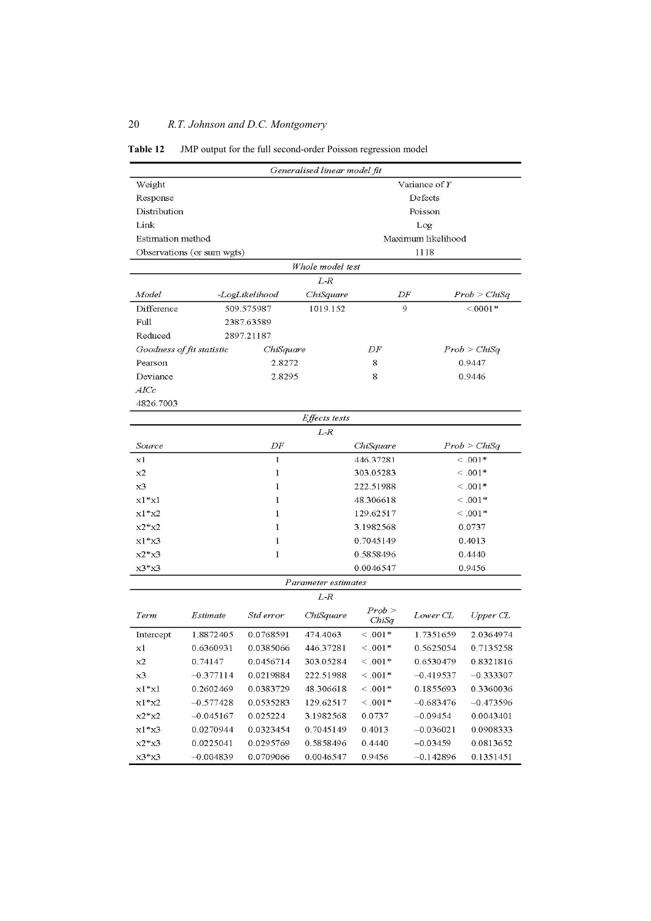### **Table 12** JMP output for the full second-order Poisson regression model

|                           |                            |                | Generalised linear model fit |                     |                    |                      |
|---------------------------|----------------------------|----------------|------------------------------|---------------------|--------------------|----------------------|
| Weight                    |                            |                |                              |                     | Variance of $Y$    |                      |
| Response                  | Defects                    |                |                              |                     |                    |                      |
|                           | Distribution<br>Poisson    |                |                              |                     |                    |                      |
| Link                      |                            |                |                              |                     | Log                |                      |
| Estimation method         |                            |                |                              |                     | Maximum likelihood |                      |
|                           | Observations (or sum wgts) |                |                              |                     | 1118               |                      |
|                           |                            |                | Whole model test             |                     |                    |                      |
|                           |                            |                | $L-R$                        |                     |                    |                      |
| Model                     |                            | -LogLikelihood | ChiSquare                    | DF                  |                    | Prob > ChiSq         |
| Difference                |                            | 509.575987     | 1019.152                     | $\overline{9}$      |                    | $< 0001*$            |
| Full                      |                            | 2387.63589     |                              |                     |                    |                      |
| Reduced                   |                            | 2897.21187     |                              |                     |                    |                      |
| Goodness of fit statistic |                            | ChiSquare      |                              | DF                  |                    | Prob > ChiSq         |
| Pearson                   |                            | 2.8272         |                              | 8                   |                    | 0.9447               |
| Deviance                  |                            | 2.8295         |                              | 8                   |                    | 0.9446               |
| AICc                      |                            |                |                              |                     |                    |                      |
| 4826.7003                 |                            |                |                              |                     |                    |                      |
|                           |                            |                | <b>Effects</b> tests         |                     |                    |                      |
|                           |                            |                | $L-R$                        |                     |                    |                      |
| Source                    |                            | DF             |                              | ChiSquare           |                    | Prob > ChiSq         |
| x1                        |                            | $\mathbf{1}$   |                              | 446.37281           |                    | $<.001*$             |
| x2                        |                            | 1              |                              | 303.05283           |                    | $<.001*$             |
| x3                        | $\mathbf{1}$               |                |                              | 222.51988           |                    | $<.001*$             |
| $x1^*x1$                  | 1                          |                |                              | 48.306618           |                    | $<.001*$             |
| $x1*x2$                   | 1                          |                |                              | 129.62517           |                    | $<.001*$             |
| $x2*x2$                   | 1                          |                | 3.1982568                    |                     | 0.0737             |                      |
| $x1*x3$                   |                            | 1              |                              | 0.7045149<br>0.4013 |                    |                      |
| $x2*x3$                   |                            | 1              |                              | 0.5858496           |                    | 0.4440               |
| $x3*x3$                   |                            |                |                              | 0.0046547           |                    | 0.9456               |
|                           |                            |                | Parameter estimates          |                     |                    |                      |
|                           |                            |                | $L-R$                        |                     |                    |                      |
| Term                      | Estimate                   | Std error      | ChiSquare                    | Prob ><br>ChiSa     | Lower CL           | Upper C <sub>L</sub> |
| Intercept                 | 1.8872405                  | 0.0768591      | 474.4063                     | $< 0.01*$           | 1.7351659          | 2.0364974            |
| хl                        | 0.6360931                  | 0.0385066      | 446.37281                    | $< 0.01*$           | 0.5625054          | 0.7135258            |
| x2                        | 0.74147                    | 0.0456714      | 303.05284                    | $< .001*$           | 0.6530479          | 0.8321816            |
| x3                        | $-0.377114$                | 0.0219884      | 222.51988                    | $< .001*$           | $-0.419537$        | $-0.333307$          |
| $x1^*x1$                  | 0.2602469                  | 0.0383729      | 48.306618                    | $< .001*$           | 0.1855693          | 0.3360036            |
| $x1*x2$                   | $-0.577428$                | 0.0535283      | 129.62517                    | $< .001*$           | $-0.683476$        | $-0.473596$          |
| $x2*x2$                   | $-0.045167$                | 0.025224       | 3.1982568                    | 0.0737              | $-0.09454$         | 0.0043401            |
| $x1*x3$                   | 0.0270944                  | 0.0323454      | 0.7045149                    | 0.4013              | $-0.036021$        | 0.0908333            |
| $x2*x3$                   | 0.0225041                  | 0.0295769      | 0.5858496                    | 0.4440              | $-0.03459$         | 0.0813652            |
| $x3*x3$                   | $-0.004839$                | 0.0709066      | 0.0046547                    | 0.9456              | $-0.142896$        | 0.1351451            |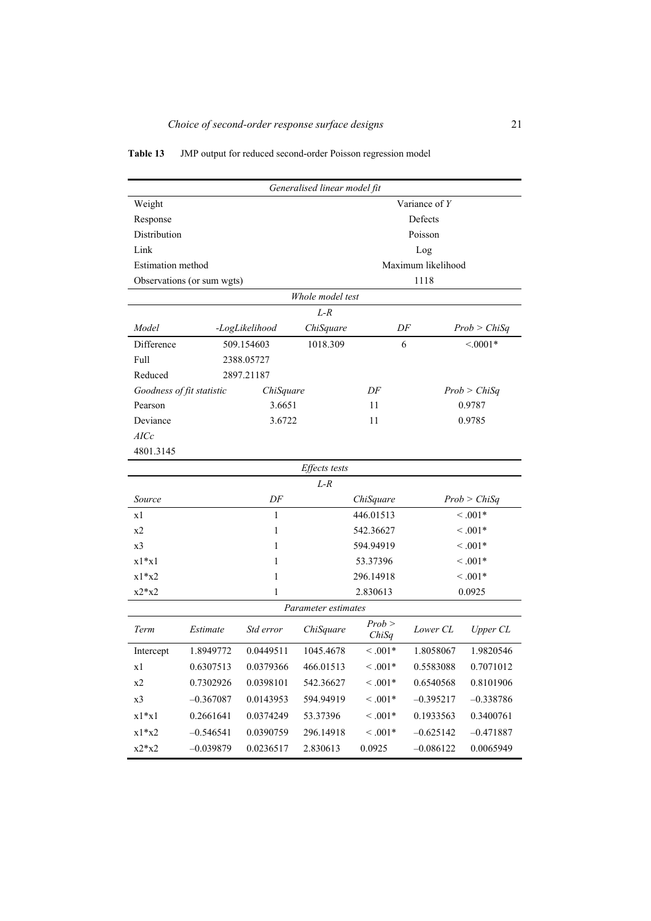## **Table 13** JMP output for reduced second-order Poisson regression model

| Generalised linear model fit |                            |                |                     |                 |                    |              |  |
|------------------------------|----------------------------|----------------|---------------------|-----------------|--------------------|--------------|--|
| Weight                       | Variance of Y              |                |                     |                 |                    |              |  |
| Response                     |                            |                |                     |                 | Defects            |              |  |
| Distribution                 |                            |                |                     |                 | Poisson            |              |  |
| Link                         |                            |                |                     |                 | Log                |              |  |
| Estimation method            |                            |                |                     |                 | Maximum likelihood |              |  |
|                              | Observations (or sum wgts) |                |                     |                 | 1118               |              |  |
|                              |                            |                | Whole model test    |                 |                    |              |  |
|                              |                            |                | $L-R$               |                 |                    |              |  |
| Model                        |                            | -LogLikelihood | ChiSquare           | DF              |                    | Prob > ChiSq |  |
| Difference                   |                            | 509.154603     | 1018.309            | 6               |                    | $< 0.001*$   |  |
| Full                         |                            | 2388.05727     |                     |                 |                    |              |  |
| Reduced                      |                            | 2897.21187     |                     |                 |                    |              |  |
| Goodness of fit statistic    |                            | ChiSquare      |                     | DF              |                    | Prob > ChiSq |  |
| Pearson                      |                            | 3.6651         |                     | 11              |                    | 0.9787       |  |
| Deviance                     |                            | 3.6722         |                     | 11              |                    | 0.9785       |  |
| AICc                         |                            |                |                     |                 |                    |              |  |
| 4801.3145                    |                            |                |                     |                 |                    |              |  |
|                              |                            |                | Effects tests       |                 |                    |              |  |
|                              |                            |                | $L-R$               |                 |                    |              |  |
| Source                       |                            | DF             |                     | ChiSquare       |                    | Prob > ChiSq |  |
| x1                           |                            | 1              |                     | 446.01513       |                    | $< 0.01*$    |  |
| x2                           |                            | 1              |                     | 542.36627       |                    | $\leq .001*$ |  |
| x <sub>3</sub>               |                            | 1              |                     | 594.94919       |                    | $< 0.01*$    |  |
| $x1*x1$                      |                            | 1              |                     | 53.37396        |                    | $0.001*$     |  |
| $x1*x2$                      |                            | 1              |                     | 296.14918       |                    | $< 0.01*$    |  |
| $x2*x2$                      |                            | 1              |                     | 2.830613        |                    | 0.0925       |  |
|                              |                            |                | Parameter estimates |                 |                    |              |  |
| Term                         | Estimate                   | Std error      | ChiSquare           | Prob ><br>ChiSq | Lower CL           | Upper CL     |  |
| Intercept                    | 1.8949772                  | 0.0449511      | 1045.4678           | $< 0.01*$       | 1.8058067          | 1.9820546    |  |
| x1                           | 0.6307513                  | 0.0379366      | 466.01513           | $\leq .001*$    | 0.5583088          | 0.7071012    |  |
| x2                           | 0.7302926                  | 0.0398101      | 542.36627           | $\leq .001*$    | 0.6540568          | 0.8101906    |  |
| x3                           | $-0.367087$                | 0.0143953      | 594.94919           | $1001*$         | $-0.395217$        | $-0.338786$  |  |
| $x1*x1$                      | 0.2661641                  | 0.0374249      | 53.37396            | $\leq .001*$    | 0.1933563          | 0.3400761    |  |
| $x1*x2$                      | $-0.546541$                | 0.0390759      | 296.14918           | $1001*$         | $-0.625142$        | $-0.471887$  |  |
| $x2*x2$                      | $-0.039879$                | 0.0236517      | 2.830613            | 0.0925          | $-0.086122$        | 0.0065949    |  |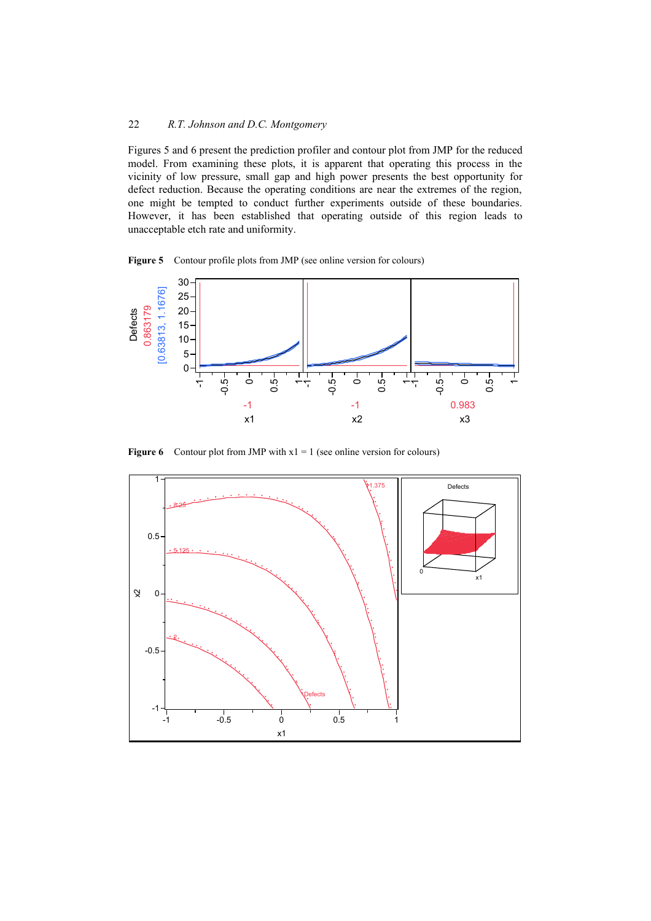Figures 5 and 6 present the prediction profiler and contour plot from JMP for the reduced model. From examining these plots, it is apparent that operating this process in the vicinity of low pressure, small gap and high power presents the best opportunity for defect reduction. Because the operating conditions are near the extremes of the region, one might be tempted to conduct further experiments outside of these boundaries. However, it has been established that operating outside of this region leads to unacceptable etch rate and uniformity.

**Figure 5** Contour profile plots from JMP (see online version for colours)



**Figure 6** Contour plot from JMP with  $x1 = 1$  (see online version for colours)